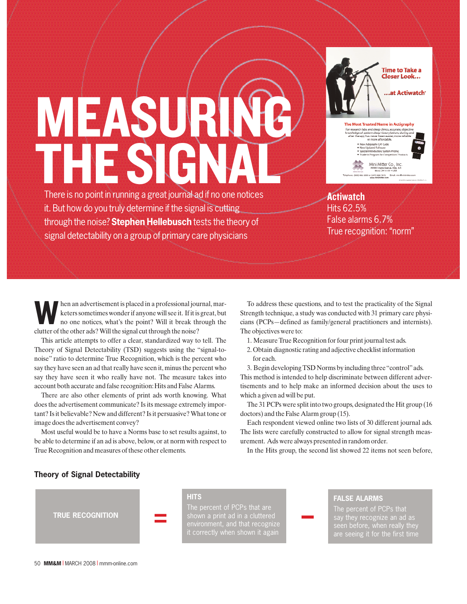# MEASURI THESIGN



Actigraphy CPT Code

Mini Mitter Co., Inc.

There is no point in running a great journal ad if no one notices it. But how do you truly determine if the signal is cutting through the noise? **Stephen Hellebusch** tests the theory of signal detectability on a group of primary care physicians

Actiwatch Hits 62.5% False alarms 6.7% True recognition: "norm"

then an advertisement is placed in a professional journal, marketers sometimes wonder if anyone will see it. If it is great, but<br>no one notices, what's the point? Will it break through the<br>clutter of the other ads? Will th keterssometimeswonderif anyonewillsee it. Ifitis great, but no one notices, what's the point? Will it break through the clutter of the other ads? Will the signal cut through the noise?

This article attempts to offer a clear, standardized way to tell. The Theory of Signal Detectability (TSD) suggests using the "signal-tonoise" ratio to determine True Recognition, which is the percent who say they have seen an ad that really have seen it, minus the percent who say they have seen it who really have not. The measure takes into account both accurate and false recognition: Hits and False Alarms.

There are also other elements of print ads worth knowing. What does the advertisement communicate? Is its message extremely important? Is it believable? New and different? Is it persuasive? What tone or image doesthe advertisement convey?

Most useful would be to have a Norms base to set results against, to be able to determine if an ad is above, below, or at norm with respect to True Recognition and measures of these other elements.

To address these questions, and to test the practicality of the Signal Strength technique, a study was conducted with 31 primary care physicians (PCPs—defined as family/general practitioners and internists). The objectives were to:

- 1. Measure True Recognition for four print journal test ads.
- 2. Obtain diagnostic rating and adjective checklistinformation for each.

3. Begin developingTSD Norms by including three"control"ads. This method is intended to help discriminate between different advertisements and to help make an informed decision about the uses to which a given ad will be put.

The 31 PCPs were split into two groups, designated the Hit group (16) doctors) and the False Alarm group (15).

Each respondent viewed online two lists of 30 different journal ads. The lists were carefully constructed to allow for signal strength measurement. Ads were always presented in random order.

In the Hits group, the second list showed 22 items not seen before,

## **Theory of Signal Detectability**



### **FALSE ALARMS**

The percent of PCPs that say they recognize an ad as seen before, when really they are seeing it for the first time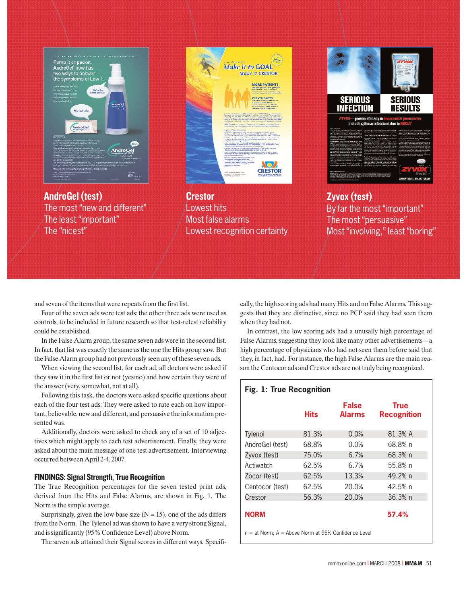

AndroGel (test) The most "new and different" The least "important" The "nicest"



Crestor Lowest hits Most false alarms Lowest recognition certainty



Zyvox(test) By far the most "important" The most "persuasive" Most "involving," least "boring"

and seven of the items that were repeats from the first list.

Four of the seven ads were test ads; the other three ads were used as controls, to be included in future research so that test-retest reliability could be established.

In the False Alarm group, the same seven ads were in the second list. In fact, that list was exactly the same asthe one the Hits group saw. But the False Alarm group had not previously seen any of these seven ads.

When viewing the second list, for each ad, all doctors were asked if they saw it in the first list or not (yes/no) and how certain they were of the answer(very,somewhat, not at all).

Following this task, the doctors were asked specific questions about each of the four test ads: They were asked to rate each on how important, believable, new and different, and persuasive the information presented was.

Additionally, doctors were asked to check any of a set of 10 adjectives which might apply to each test advertisement. Finally, they were asked about the main message of one test advertisement. Interviewing occurred between April 2-4, 2007.

#### FINDINGS: Signal Strength, True Recognition

The True Recognition percentages for the seven tested print ads, derived from the Hits and False Alarms, are shown in Fig. 1. The Norm is the simple average.

Surprisingly, given the low base size  $(N = 15)$ , one of the ads differs from the Norm. The Tylenol ad was shown to have a very strong Signal, and is significantly (95% Confidence Level) above Norm.

The seven ads attained their Signal scores in different ways. Specifi-

cally,the high scoring ads had many Hits and no False Alarms. Thissuggests that they are distinctive, since no PCP said they had seen them when they had not.

In contrast, the low scoring ads had a unusally high percentage of False Alarms, suggesting they look like many other advertisements—a high percentage of physicians who had not seen them before said that they, in fact, had. For instance, the high False Alarms are the main reason the Centocor ads and Crestor ads are not truly being recognized.

# **Fig. 1: True Recognition**

|                 | <b>Hits</b> | False<br><b>Alarms</b> | <b>True</b><br><b>Recognition</b> |
|-----------------|-------------|------------------------|-----------------------------------|
| Tylenol         | 81.3%       | 0.0%                   | 81.3% A                           |
| AndroGel (test) | 68.8%       | 0.0%                   | 68.8% n                           |
| Zyvox (test)    | 75.0%       | 6.7%                   | 68.3% n                           |
| Actiwatch       | 62.5%       | 6.7%                   | 55.8% n                           |
| Zocor (test)    | 62.5%       | 13.3%                  | 49.2% n                           |
| Centocor (test) | 62.5%       | 20.0%                  | 42.5% n                           |
| Crestor         | 56.3%       | 20.0%                  | $36.3%$ n                         |
| <b>NORM</b>     |             |                        | 57.4%                             |

n = at Norm; A = Above Norm at 95% Confidence Level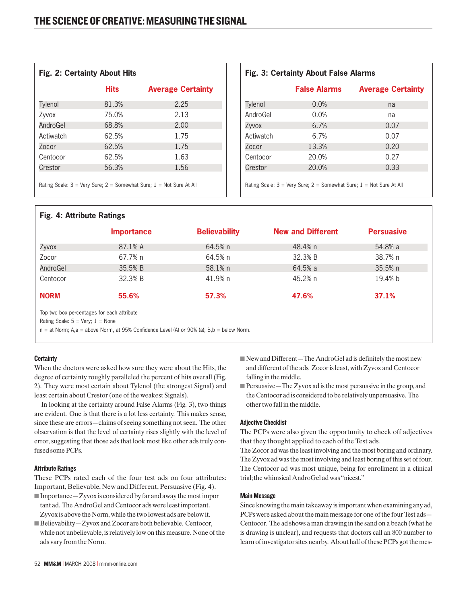| Fig. 2: Certainty About Hits |             |                          |  |  |
|------------------------------|-------------|--------------------------|--|--|
|                              | <b>Hits</b> | <b>Average Certainty</b> |  |  |
| Tylenol                      | 81.3%       | 2.25                     |  |  |
| Zyvox                        | 75.0%       | 2.13                     |  |  |
| AndroGel                     | 68.8%       | 2.00                     |  |  |
| Actiwatch                    | 62.5%       | 1.75                     |  |  |
| Zocor                        | 62.5%       | 1.75                     |  |  |
| Centocor                     | 62.5%       | 1.63                     |  |  |
| Crestor                      | 56.3%       | 1.56                     |  |  |
|                              |             |                          |  |  |

Rating Scale:  $3 =$  Very Sure;  $2 =$  Somewhat Sure;  $1 =$  Not Sure At All

# **Fig. 3: Certainty About False Alarms**

|           | <b>False Alarms</b> | <b>Average Certainty</b> |
|-----------|---------------------|--------------------------|
| Tylenol   | 0.0%                | na                       |
| AndroGel  | 0.0%                | na                       |
| Zyvox     | 6.7%                | 0.07                     |
| Actiwatch | 6.7%                | 0.07                     |
| Zocor     | 13.3%               | 0.20                     |
| Centocor  | 20.0%               | 0.27                     |
| Crestor   | 20.0%               | 0.33                     |
|           |                     |                          |

Rating Scale: 3 = Very Sure; 2 = Somewhat Sure; 1 = Not Sure At All

# **Fig. 4: Attribute Ratings**

|                                                                                                | <b>Importance</b> | <b>Believability</b> | <b>New and Different</b> | <b>Persuasive</b> |  |
|------------------------------------------------------------------------------------------------|-------------------|----------------------|--------------------------|-------------------|--|
| Zyvox                                                                                          | 87.1% A           | 64.5% n              | 48.4% n                  | 54.8% a           |  |
| Zocor                                                                                          | 67.7% n           | 64.5% n              | 32.3% B                  | 38.7% n           |  |
| AndroGel                                                                                       | 35.5% B           | 58.1% n              | 64.5% a                  | 35.5% n           |  |
| Centocor                                                                                       | 32.3% B           | 41.9% n              | 45.2% n                  | 19.4% b           |  |
| <b>NORM</b>                                                                                    | 55.6%             | 57.3%                | 47.6%                    | 37.1%             |  |
| Top two box percentages for each attribute<br>Rating Scale: $5 = \text{Very}; 1 = \text{None}$ |                   |                      |                          |                   |  |

 $n = at$  Norm; A,a = above Norm, at 95% Confidence Level (A) or 90% (a); B,b = below Norm.

## **Certainty**

When the doctors were asked how sure they were about the Hits, the degree of certainty roughly paralleled the percent of hits overall (Fig. 2). They were most certain about Tylenol (the strongest Signal) and least certain about Crestor (one of the weakest Signals).

In looking at the certainty around False Alarms (Fig. 3), two things are evident. One is that there is a lot less certainty. This makes sense, since these are errors—claims of seeing something not seen. The other observation is that the level of certainty rises slightly with the level of error, suggesting that those ads that look most like other ads truly confused some PCPs.

#### Attribute Ratings

These PCPs rated each of the four test ads on four attributes: Important, Believable, New and Different, Persuasive (Fig. 4).

- $\blacksquare$  Importance  $-Zyvox$  is considered by far and away the most impor tant ad. The AndroGel and Centocor ads were leastimportant. Zyvox is above the Norm, while the two lowest ads are below it.
- Believability Zyvox and Zocor are both believable. Centocor, while not unbelievable, is relatively low on this measure. None of the ads vary from the Norm.
- 52 **MM&M** | MARCH 2008 | mmm-online.com
- New and Different—The AndroGel ad is definitely the most new and different of the ads. Zocor is least, with Zyvox and Centocor falling in the middle.
- Persuasive—The Zyvox ad is the most persuasive in the group, and the Centocor ad is considered to be relatively unpersuasive. The othertwo fall in the middle.

#### Adjective Checklist

The PCPs were also given the opportunity to check off adjectives that they thought applied to each of the Test ads.

The Zocor ad was the least involving and the most boring and ordinary. The Zyvox ad was the most involving and least boring of this set of four. The Centocor ad was most unique, being for enrollment in a clinical trial;the whimsical AndroGel ad was"nicest."

### **Main Message**

Since knowing the main takeaway isimportant when examining any ad, PCPs were asked about the main message for one of the four Test ads— Centocor. The ad shows a man drawing in the sand on a beach (what he is drawing is unclear), and requests that doctors call an 800 number to learn of investigator sites nearby. About half of these PCPs got the mes-